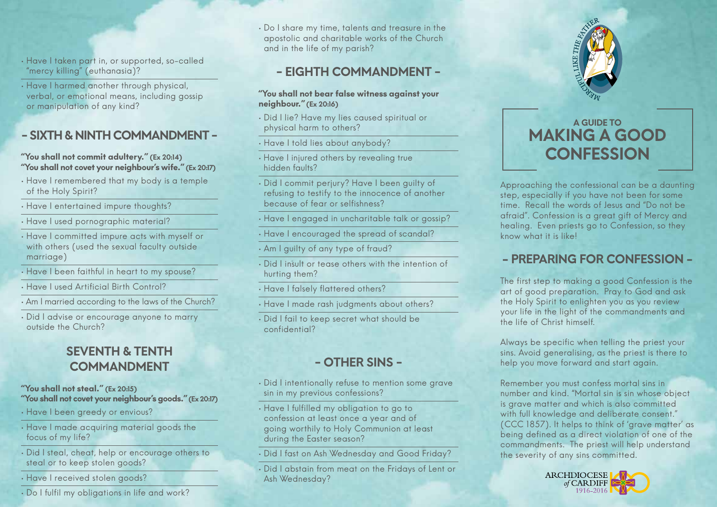- Have I taken part in, or supported, so-called "mercy killing" (euthanasia)?
- Have I harmed another through physical, verbal, or emotional means, including gossip or manipulation of any kind?

## - SIXTH & NINTH COMMANDMENT -

#### "You shall not commit adultery." (Ex 20:14) "You shall not covet your neighbour's wife." (Ex 20:17)

- Have I remembered that my body is a temple of the Holy Spirit?
- Have I entertained impure thoughts?
- Have I used pornographic material?
- Have I committed impure acts with myself or with others (used the sexual faculty outside marriage)
- Have I been faithful in heart to my spouse?
- Have I used Artificial Birth Control?
- Am I married according to the laws of the Church?
- Did I advise or encourage anyone to marry outside the Church?

# SEVENTH & TENTH COMMANDMENT

#### "You shall not steal." (Ex 20:15) "You shall not covet your neighbour's goods." (Ex 20:17)

- Have I been greedy or envious?
- Have I made acquiring material goods the focus of my life?
- Did I steal, cheat, help or encourage others to steal or to keep stolen goods?
- Have I received stolen goods?
- Do I fulfil my obligations in life and work?

• Do I share my time, talents and treasure in the apostolic and charitable works of the Church and in the life of my parish?

## - EIGHTH COMMANDMENT -

- "You shall not bear false witness against your neighbour." (Ex 20:16)
- Did I lie? Have my lies caused spiritual or physical harm to others?
- Have I told lies about anybody?
- Have I injured others by revealing true hidden faults?
- Did I commit perjury? Have I been guilty of refusing to testify to the innocence of another because of fear or selfishness?
- Have I engaged in uncharitable talk or gossip?
- Have I encouraged the spread of scandal?
- Am I guilty of any type of fraud?
- Did I insult or tease others with the intention of hurting them?
- Have I falsely flattered others?
- Have I made rash judgments about others?
- Did I fail to keep secret what should be confidential?

# - OTHER SINS -

- Did I intentionally refuse to mention some grave sin in my previous confessions?
- Have I fulfilled my obligation to go to confession at least once a year and of going worthily to Holy Communion at least during the Easter season?
- Did I fast on Ash Wednesday and Good Friday?
- Did I abstain from meat on the Fridays of Lent or Ash Wednesday?



# A GUIDE TO MAKING A GOOD **CONFESSION**

Approaching the confessional can be a daunting step, especially if you have not been for some time. Recall the words of Jesus and "Do not be afraid". Confession is a great gift of Mercy and healing. Even priests go to Confession, so they know what it is like!

# - PREPARING FOR CONFESSION -

The first step to making a good Confession is the art of good preparation. Pray to God and ask the Holy Spirit to enlighten you as you review your life in the light of the commandments and the life of Christ himself.

Always be specific when telling the priest your sins. Avoid generalising, as the priest is there to help you move forward and start again.

Remember you must confess mortal sins in number and kind. "Mortal sin is sin whose object is grave matter and which is also committed with full knowledge and deliberate consent." (CCC 1857). It helps to think of 'grave matter' as being defined as a direct violation of one of the commandments. The priest will help understand the severity of any sins committed.